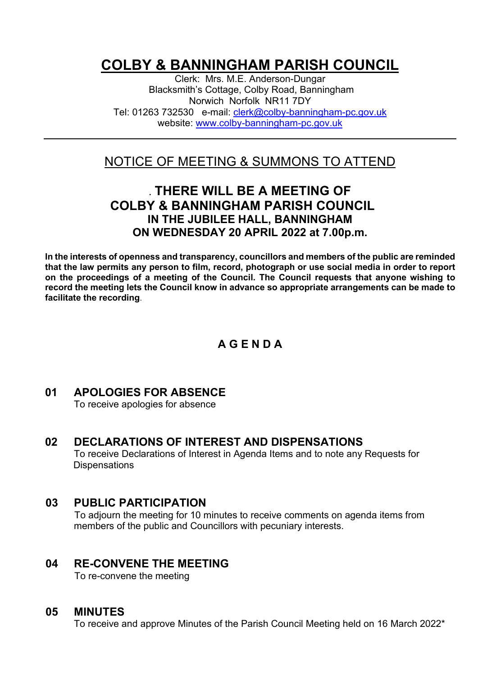# **COLBY & BANNINGHAM PARISH COUNCIL**

Clerk: Mrs. M.E. Anderson-Dungar Blacksmith's Cottage, Colby Road, Banningham Norwich Norfolk NR11 7DY Tel: 01263 732530 e-mail: [clerk@colby-banningham-pc.gov.uk](mailto:clerk@colby-banningham-pc.gov.uk) website: [www.colby-banningham-pc.gov.uk](http://www.colby-banningham-pc.gov.uk/)

# NOTICE OF MEETING & SUMMONS TO ATTEND

# **. THERE WILL BE A MEETING OF COLBY & BANNINGHAM PARISH COUNCIL IN THE JUBILEE HALL, BANNINGHAM ON WEDNESDAY 20 APRIL 2022 at 7.00p.m.**

**In the interests of openness and transparency, councillors and members of the public are reminded that the law permits any person to film, record, photograph or use social media in order to report on the proceedings of a meeting of the Council. The Council requests that anyone wishing to record the meeting lets the Council know in advance so appropriate arrangements can be made to facilitate the recording**.

# **A G E N D A**

# **01 APOLOGIES FOR ABSENCE**

To receive apologies for absence

#### **02 DECLARATIONS OF INTEREST AND DISPENSATIONS** To receive Declarations of Interest in Agenda Items and to note any Requests for **Dispensations**

# **03 PUBLIC PARTICIPATION**

To adjourn the meeting for 10 minutes to receive comments on agenda items from members of the public and Councillors with pecuniary interests.

#### **04 RE-CONVENE THE MEETING**

To re-convene the meeting

#### **05 MINUTES**

To receive and approve Minutes of the Parish Council Meeting held on 16 March 2022\*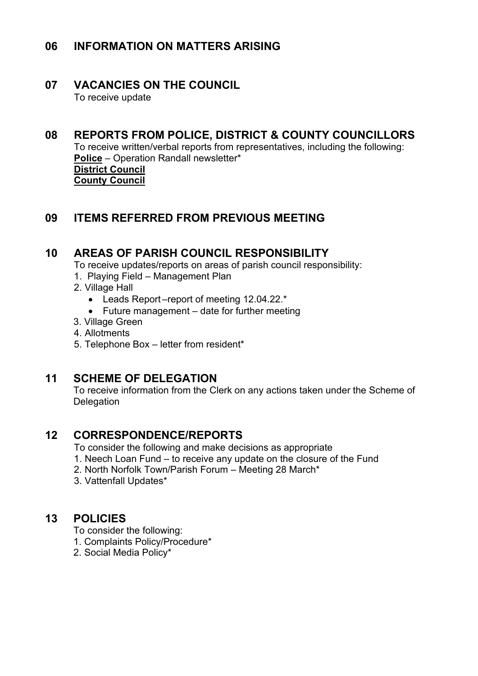# **06 INFORMATION ON MATTERS ARISING**

### **07 VACANCIES ON THE COUNCIL**

To receive update

# **08 REPORTS FROM POLICE, DISTRICT & COUNTY COUNCILLORS**

To receive written/verbal reports from representatives, including the following: **Police** – Operation Randall newsletter\* **District Council County Council** 

### **09 ITEMS REFERRED FROM PREVIOUS MEETING**

#### **10 AREAS OF PARISH COUNCIL RESPONSIBILITY**

To receive updates/reports on areas of parish council responsibility:

- 1. Playing Field Management Plan
- 2. Village Hall
	- Leads Report –report of meeting 12.04.22.\*
	- Future management date for further meeting
- 3. Village Green
- 4. Allotments
- 5. Telephone Box letter from resident\*

#### **11 SCHEME OF DELEGATION**

To receive information from the Clerk on any actions taken under the Scheme of **Delegation** 

### **12 CORRESPONDENCE/REPORTS**

To consider the following and make decisions as appropriate

- 1. Neech Loan Fund to receive any update on the closure of the Fund
- 2. North Norfolk Town/Parish Forum Meeting 28 March\*
- 3. Vattenfall Updates\*

#### **13 POLICIES**

To consider the following:

- 1. Complaints Policy/Procedure\*
- 2. Social Media Policy\*